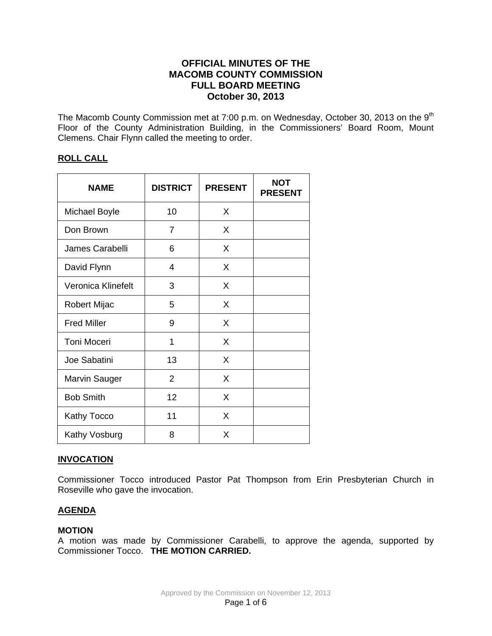# **OFFICIAL MINUTES OF THE MACOMB COUNTY COMMISSION FULL BOARD MEETING October 30, 2013**

The Macomb County Commission met at 7:00 p.m. on Wednesday, October 30, 2013 on the 9<sup>th</sup> Floor of the County Administration Building, in the Commissioners' Board Room, Mount Clemens. Chair Flynn called the meeting to order.

# **ROLL CALL**

| <b>NAME</b>          | <b>DISTRICT</b> | <b>PRESENT</b> | <b>NOT</b><br><b>PRESENT</b> |
|----------------------|-----------------|----------------|------------------------------|
| <b>Michael Boyle</b> | 10              | X              |                              |
| Don Brown            | 7               | X              |                              |
| James Carabelli      | 6               | X              |                              |
| David Flynn          | 4               | X              |                              |
| Veronica Klinefelt   | 3               | X              |                              |
| Robert Mijac         | 5               | X              |                              |
| <b>Fred Miller</b>   | 9               | X              |                              |
| <b>Toni Moceri</b>   | 1               | X              |                              |
| Joe Sabatini         | 13              | X              |                              |
| Marvin Sauger        | $\overline{2}$  | X              |                              |
| <b>Bob Smith</b>     | 12              | X              |                              |
| Kathy Tocco          | 11              | X              |                              |
| Kathy Vosburg        | 8               | X              |                              |

# **INVOCATION**

Commissioner Tocco introduced Pastor Pat Thompson from Erin Presbyterian Church in Roseville who gave the invocation.

# **AGENDA**

### **MOTION**

A motion was made by Commissioner Carabelli, to approve the agenda, supported by Commissioner Tocco. **THE MOTION CARRIED.**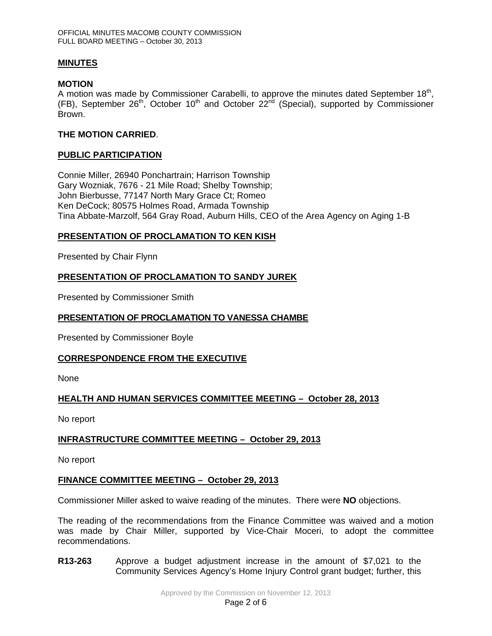## **MINUTES**

## **MOTION**

A motion was made by Commissioner Carabelli, to approve the minutes dated September 18<sup>th</sup>, (FB), September  $26<sup>th</sup>$ , October  $10<sup>th</sup>$  and October  $22<sup>nd</sup>$  (Special), supported by Commissioner Brown.

## **THE MOTION CARRIED**.

## **PUBLIC PARTICIPATION**

Connie Miller, 26940 Ponchartrain; Harrison Township Gary Wozniak, 7676 - 21 Mile Road; Shelby Township; John Bierbusse, 77147 North Mary Grace Ct; Romeo Ken DeCock; 80575 Holmes Road, Armada Township Tina Abbate-Marzolf, 564 Gray Road, Auburn Hills, CEO of the Area Agency on Aging 1-B

# **PRESENTATION OF PROCLAMATION TO KEN KISH**

Presented by Chair Flynn

## **PRESENTATION OF PROCLAMATION TO SANDY JUREK**

Presented by Commissioner Smith

## **PRESENTATION OF PROCLAMATION TO VANESSA CHAMBE**

Presented by Commissioner Boyle

### **CORRESPONDENCE FROM THE EXECUTIVE**

None

# **HEALTH AND HUMAN SERVICES COMMITTEE MEETING – October 28, 2013**

No report

# **INFRASTRUCTURE COMMITTEE MEETING – October 29, 2013**

No report

### **FINANCE COMMITTEE MEETING – October 29, 2013**

Commissioner Miller asked to waive reading of the minutes. There were **NO** objections.

The reading of the recommendations from the Finance Committee was waived and a motion was made by Chair Miller, supported by Vice-Chair Moceri, to adopt the committee recommendations.

**R13-263** Approve a budget adjustment increase in the amount of \$7,021 to the Community Services Agency's Home Injury Control grant budget; further, this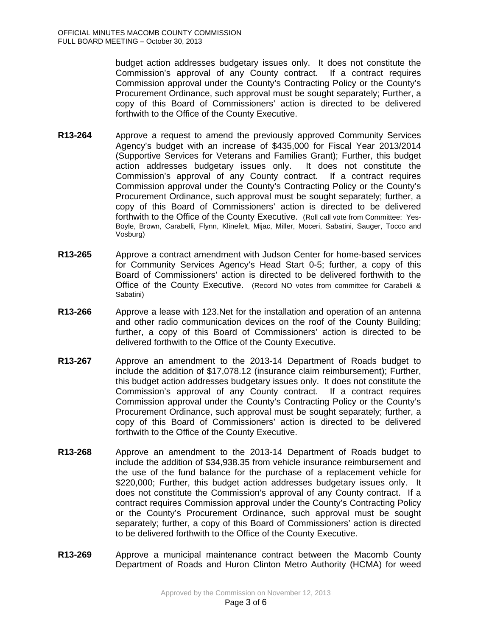budget action addresses budgetary issues only. It does not constitute the Commission's approval of any County contract. If a contract requires Commission approval under the County's Contracting Policy or the County's Procurement Ordinance, such approval must be sought separately; Further, a copy of this Board of Commissioners' action is directed to be delivered forthwith to the Office of the County Executive.

- **R13-264** Approve a request to amend the previously approved Community Services Agency's budget with an increase of \$435,000 for Fiscal Year 2013/2014 (Supportive Services for Veterans and Families Grant); Further, this budget action addresses budgetary issues only. It does not constitute the Commission's approval of any County contract. If a contract requires Commission approval under the County's Contracting Policy or the County's Procurement Ordinance, such approval must be sought separately; further, a copy of this Board of Commissioners' action is directed to be delivered forthwith to the Office of the County Executive. (Roll call vote from Committee: Yes-Boyle, Brown, Carabelli, Flynn, Klinefelt, Mijac, Miller, Moceri, Sabatini, Sauger, Tocco and Vosburg)
- **R13-265** Approve a contract amendment with Judson Center for home-based services for Community Services Agency's Head Start 0-5; further, a copy of this Board of Commissioners' action is directed to be delivered forthwith to the Office of the County Executive. (Record NO votes from committee for Carabelli & Sabatini)
- **R13-266** Approve a lease with 123.Net for the installation and operation of an antenna and other radio communication devices on the roof of the County Building; further, a copy of this Board of Commissioners' action is directed to be delivered forthwith to the Office of the County Executive.
- **R13-267** Approve an amendment to the 2013-14 Department of Roads budget to include the addition of \$17,078.12 (insurance claim reimbursement); Further, this budget action addresses budgetary issues only. It does not constitute the Commission's approval of any County contract. If a contract requires Commission approval under the County's Contracting Policy or the County's Procurement Ordinance, such approval must be sought separately; further, a copy of this Board of Commissioners' action is directed to be delivered forthwith to the Office of the County Executive.
- **R13-268** Approve an amendment to the 2013-14 Department of Roads budget to include the addition of \$34,938.35 from vehicle insurance reimbursement and the use of the fund balance for the purchase of a replacement vehicle for \$220,000; Further, this budget action addresses budgetary issues only. It does not constitute the Commission's approval of any County contract. If a contract requires Commission approval under the County's Contracting Policy or the County's Procurement Ordinance, such approval must be sought separately; further, a copy of this Board of Commissioners' action is directed to be delivered forthwith to the Office of the County Executive.
- **R13-269** Approve a municipal maintenance contract between the Macomb County Department of Roads and Huron Clinton Metro Authority (HCMA) for weed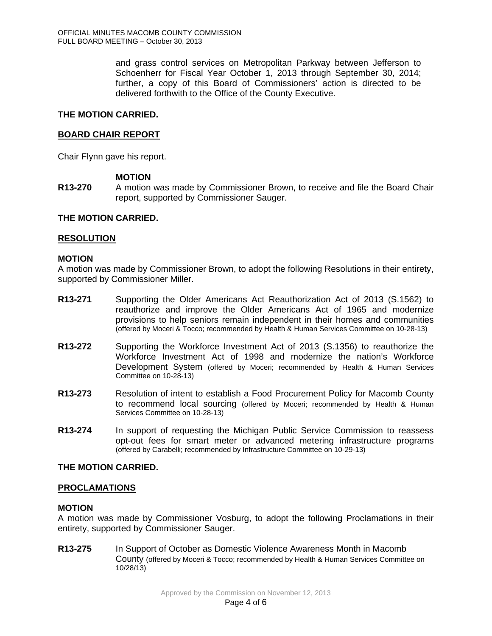and grass control services on Metropolitan Parkway between Jefferson to Schoenherr for Fiscal Year October 1, 2013 through September 30, 2014; further, a copy of this Board of Commissioners' action is directed to be delivered forthwith to the Office of the County Executive.

## **THE MOTION CARRIED.**

## **BOARD CHAIR REPORT**

Chair Flynn gave his report.

## **MOTION**

**R13-270** A motion was made by Commissioner Brown, to receive and file the Board Chair report, supported by Commissioner Sauger.

### **THE MOTION CARRIED.**

#### **RESOLUTION**

#### **MOTION**

A motion was made by Commissioner Brown, to adopt the following Resolutions in their entirety, supported by Commissioner Miller.

- **R13-271** Supporting the Older Americans Act Reauthorization Act of 2013 (S.1562) to reauthorize and improve the Older Americans Act of 1965 and modernize provisions to help seniors remain independent in their homes and communities (offered by Moceri & Tocco; recommended by Health & Human Services Committee on 10-28-13)
- **R13-272** Supporting the Workforce Investment Act of 2013 (S.1356) to reauthorize the Workforce Investment Act of 1998 and modernize the nation's Workforce Development System (offered by Moceri; recommended by Health & Human Services Committee on 10-28-13)
- **R13-273** Resolution of intent to establish a Food Procurement Policy for Macomb County to recommend local sourcing (offered by Moceri; recommended by Health & Human Services Committee on 10-28-13)
- **R13-274** In support of requesting the Michigan Public Service Commission to reassess opt-out fees for smart meter or advanced metering infrastructure programs (offered by Carabelli; recommended by Infrastructure Committee on 10-29-13)

### **THE MOTION CARRIED.**

### **PROCLAMATIONS**

### **MOTION**

A motion was made by Commissioner Vosburg, to adopt the following Proclamations in their entirety, supported by Commissioner Sauger.

**R13-275** In Support of October as Domestic Violence Awareness Month in Macomb County (offered by Moceri & Tocco; recommended by Health & Human Services Committee on 10/28/13)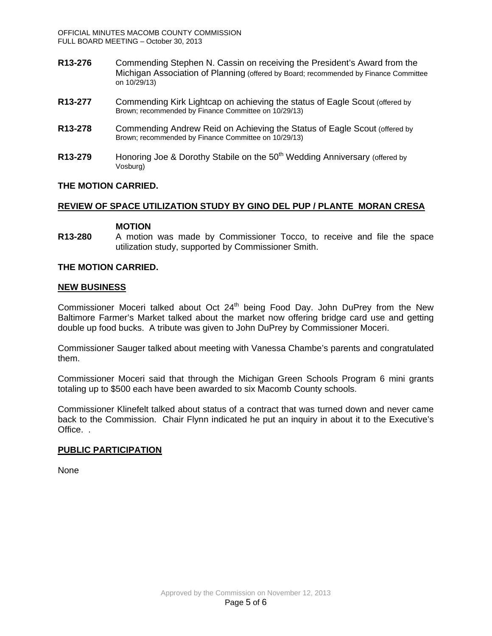- **R13-276** Commending Stephen N. Cassin on receiving the President's Award from the Michigan Association of Planning (offered by Board; recommended by Finance Committee on 10/29/13)
- **R13-277** Commending Kirk Lightcap on achieving the status of Eagle Scout (offered by Brown; recommended by Finance Committee on 10/29/13)
- **R13-278** Commending Andrew Reid on Achieving the Status of Eagle Scout (offered by Brown; recommended by Finance Committee on 10/29/13)
- **R13-279** Honoring Joe & Dorothy Stabile on the 50<sup>th</sup> Wedding Anniversary (offered by Vosburg)

## **THE MOTION CARRIED.**

## **REVIEW OF SPACE UTILIZATION STUDY BY GINO DEL PUP / PLANTE MORAN CRESA**

#### **MOTION**

**R13-280** A motion was made by Commissioner Tocco, to receive and file the space utilization study, supported by Commissioner Smith.

### **THE MOTION CARRIED.**

#### **NEW BUSINESS**

Commissioner Moceri talked about Oct 24<sup>th</sup> being Food Day. John DuPrey from the New Baltimore Farmer's Market talked about the market now offering bridge card use and getting double up food bucks. A tribute was given to John DuPrey by Commissioner Moceri.

Commissioner Sauger talked about meeting with Vanessa Chambe's parents and congratulated them.

Commissioner Moceri said that through the Michigan Green Schools Program 6 mini grants totaling up to \$500 each have been awarded to six Macomb County schools.

Commissioner Klinefelt talked about status of a contract that was turned down and never came back to the Commission. Chair Flynn indicated he put an inquiry in about it to the Executive's Office. .

### **PUBLIC PARTICIPATION**

None